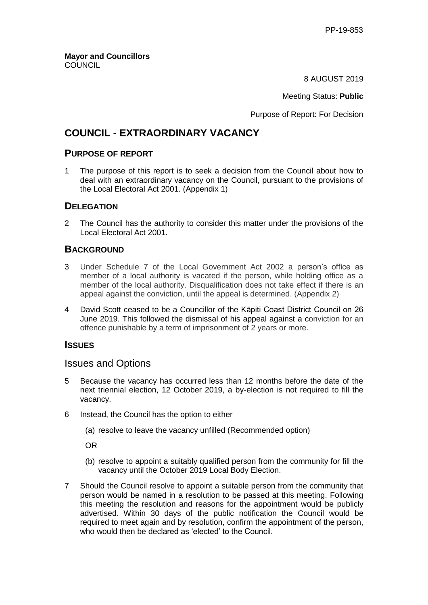8 AUGUST 2019

Meeting Status: **Public**

Purpose of Report: For Decision

# **COUNCIL - EXTRAORDINARY VACANCY**

# **PURPOSE OF REPORT**

1 The purpose of this report is to seek a decision from the Council about how to deal with an extraordinary vacancy on the Council, pursuant to the provisions of the Local Electoral Act 2001. (Appendix 1)

#### **DELEGATION**

2 The Council has the authority to consider this matter under the provisions of the Local Electoral Act 2001.

# **BACKGROUND**

- 3 Under Schedule 7 of the Local Government Act 2002 a person's office as member of a local authority is vacated if the person, while holding office as a member of the local authority. Disqualification does not take effect if there is an appeal against the conviction, until the appeal is determined. (Appendix 2)
- 4 David Scott ceased to be a Councillor of the Kāpiti Coast District Council on 26 June 2019. This followed the dismissal of his appeal against a conviction for an offence punishable by a term of imprisonment of 2 years or more.

# **ISSUES**

# Issues and Options

- 5 Because the vacancy has occurred less than 12 months before the date of the next triennial election, 12 October 2019, a by-election is not required to fill the vacancy.
- 6 Instead, the Council has the option to either
	- (a) resolve to leave the vacancy unfilled (Recommended option)

OR

- (b) resolve to appoint a suitably qualified person from the community for fill the vacancy until the October 2019 Local Body Election.
- 7 Should the Council resolve to appoint a suitable person from the community that person would be named in a resolution to be passed at this meeting. Following this meeting the resolution and reasons for the appointment would be publicly advertised. Within 30 days of the public notification the Council would be required to meet again and by resolution, confirm the appointment of the person, who would then be declared as 'elected' to the Council.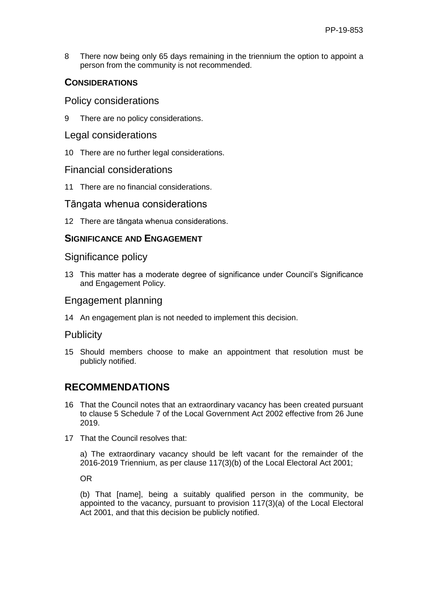8 There now being only 65 days remaining in the triennium the option to appoint a person from the community is not recommended.

# **CONSIDERATIONS**

## Policy considerations

9 There are no policy considerations.

## Legal considerations

10 There are no further legal considerations.

# Financial considerations

11 There are no financial considerations.

# Tāngata whenua considerations

12 There are tāngata whenua considerations.

# **SIGNIFICANCE AND ENGAGEMENT**

#### Significance policy

13 This matter has a moderate degree of significance under Council's Significance and Engagement Policy.

#### Engagement planning

14 An engagement plan is not needed to implement this decision.

# **Publicity**

15 Should members choose to make an appointment that resolution must be publicly notified.

# **RECOMMENDATIONS**

- 16 That the Council notes that an extraordinary vacancy has been created pursuant to clause 5 Schedule 7 of the Local Government Act 2002 effective from 26 June 2019.
- 17 That the Council resolves that:

a) The extraordinary vacancy should be left vacant for the remainder of the 2016-2019 Triennium, as per clause 117(3)(b) of the Local Electoral Act 2001;

OR

(b) That [name], being a suitably qualified person in the community, be appointed to the vacancy, pursuant to provision 117(3)(a) of the Local Electoral Act 2001, and that this decision be publicly notified.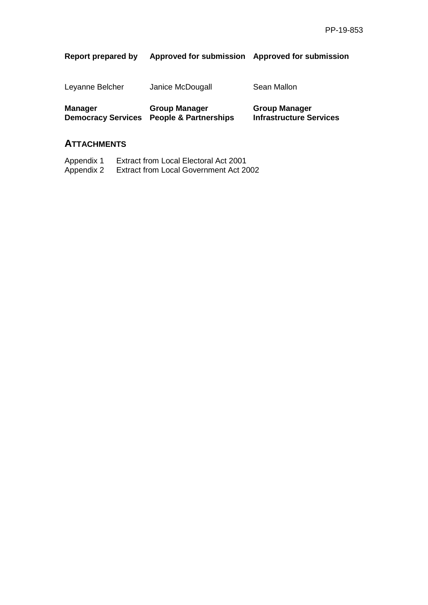# **Report prepared by Approved for submission Approved for submission**

| <b>Manager</b>  | <b>Group Manager</b> |  |
|-----------------|----------------------|--|
| Leyanne Belcher | Janice McDougall     |  |

**Democracy Services People & Partnerships**

**Group Manager Infrastructure Services**

Sean Mallon

# **ATTACHMENTS**

Appendix 1 Extract from Local Electoral Act 2001<br>Appendix 2 Extract from Local Government Act 20 Extract from Local Government Act 2002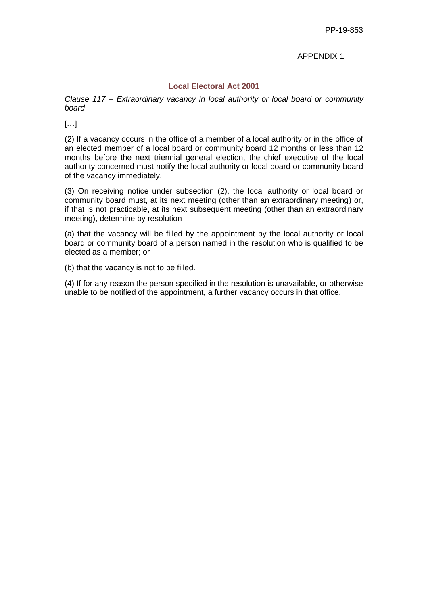#### APPENDIX 1

#### **Local Electoral Act 2001**

*Clause 117 – Extraordinary vacancy in local authority or local board or community board*

 $\left[\ldots\right]$ 

(2) If a vacancy occurs in the office of a member of a local authority or in the office of an elected member of a local board or community board 12 months or less than 12 months before the next triennial general election, the chief executive of the local authority concerned must notify the local authority or local board or community board of the vacancy immediately.

(3) On receiving notice under subsection (2), the local authority or local board or community board must, at its next meeting (other than an extraordinary meeting) or, if that is not practicable, at its next subsequent meeting (other than an extraordinary meeting), determine by resolution-

(a) that the vacancy will be filled by the appointment by the local authority or local board or community board of a person named in the resolution who is qualified to be elected as a member; or

(b) that the vacancy is not to be filled.

(4) If for any reason the person specified in the resolution is unavailable, or otherwise unable to be notified of the appointment, a further vacancy occurs in that office.